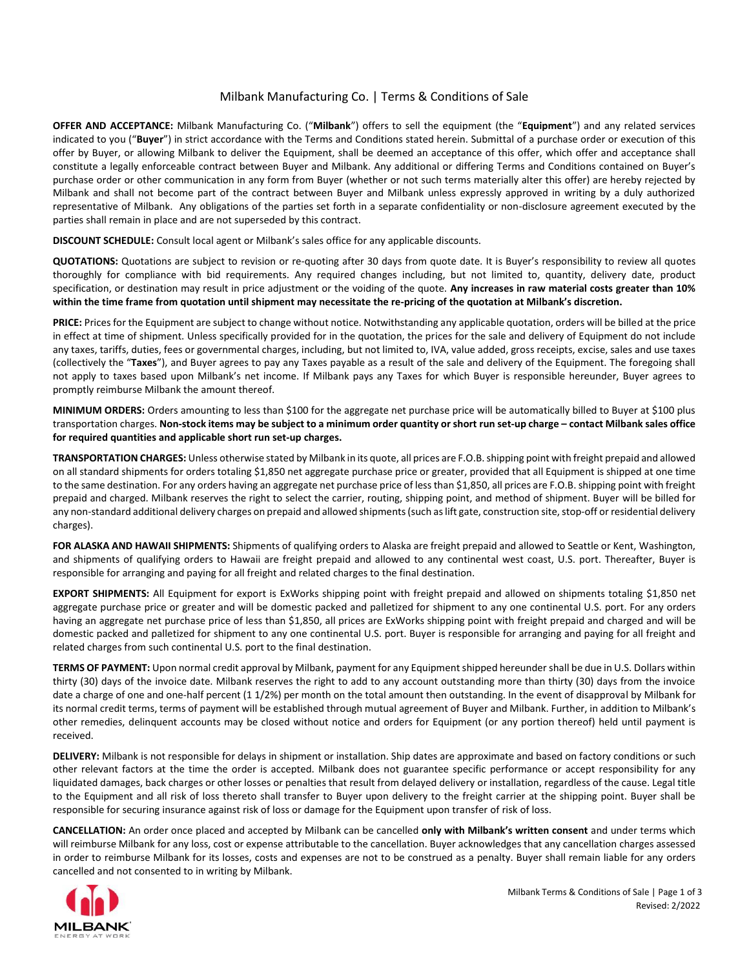## Milbank Manufacturing Co. | Terms & Conditions of Sale

**OFFER AND ACCEPTANCE:** Milbank Manufacturing Co. ("**Milbank**") offers to sell the equipment (the "**Equipment**") and any related services indicated to you ("**Buyer**") in strict accordance with the Terms and Conditions stated herein. Submittal of a purchase order or execution of this offer by Buyer, or allowing Milbank to deliver the Equipment, shall be deemed an acceptance of this offer, which offer and acceptance shall constitute a legally enforceable contract between Buyer and Milbank. Any additional or differing Terms and Conditions contained on Buyer's purchase order or other communication in any form from Buyer (whether or not such terms materially alter this offer) are hereby rejected by Milbank and shall not become part of the contract between Buyer and Milbank unless expressly approved in writing by a duly authorized representative of Milbank. Any obligations of the parties set forth in a separate confidentiality or non-disclosure agreement executed by the parties shall remain in place and are not superseded by this contract.

**DISCOUNT SCHEDULE:** Consult local agent or Milbank's sales office for any applicable discounts.

QUOTATIONS: Quotations are subject to revision or re-quoting after 30 days from quote date. It is Buyer's responsibility to review all quotes thoroughly for compliance with bid requirements. Any required changes including, but not limited to, quantity, delivery date, product specification, or destination may result in price adjustment or the voiding of the quote. **Any increases in raw material costs greater than 10% within the time frame from quotation until shipment may necessitate the re‐pricing of the quotation at Milbank's discretion.**

**PRICE:** Prices for the Equipment are subject to change without notice. Notwithstanding any applicable quotation, orders will be billed at the price in effect at time of shipment. Unless specifically provided for in the quotation, the prices for the sale and delivery of Equipment do not include any taxes, tariffs, duties, fees or governmental charges, including, but not limited to, IVA, value added, gross receipts, excise, sales and use taxes (collectively the "**Taxes**"), and Buyer agrees to pay any Taxes payable as a result of the sale and delivery of the Equipment. The foregoing shall not apply to taxes based upon Milbank's net income. If Milbank pays any Taxes for which Buyer is responsible hereunder, Buyer agrees to promptly reimburse Milbank the amount thereof.

**MINIMUM ORDERS:** Orders amounting to less than \$100 for the aggregate net purchase price will be automatically billed to Buyer at \$100 plus transportation charges. **Non‐stock items may be subject to a minimum order quantity or short run set‐up charge – contact Milbank sales office for required quantities and applicable short run set‐up charges.**

**TRANSPORTATION CHARGES:** Unless otherwise stated by Milbank in its quote, all prices are F.O.B. shipping point with freight prepaid and allowed on all standard shipments for orders totaling \$1,850 net aggregate purchase price or greater, provided that all Equipment is shipped at one time to the same destination. For any orders having an aggregate net purchase price of less than \$1,850, all prices are F.O.B. shipping point with freight prepaid and charged. Milbank reserves the right to select the carrier, routing, shipping point, and method of shipment. Buyer will be billed for any non-standard additional delivery charges on prepaid and allowed shipments (such as lift gate, construction site, stop-off or residential delivery charges).

**FOR ALASKA AND HAWAII SHIPMENTS:** Shipments of qualifying orders to Alaska are freight prepaid and allowed to Seattle or Kent, Washington, and shipments of qualifying orders to Hawaii are freight prepaid and allowed to any continental west coast, U.S. port. Thereafter, Buyer is responsible for arranging and paying for all freight and related charges to the final destination.

**EXPORT SHIPMENTS:** All Equipment for export is ExWorks shipping point with freight prepaid and allowed on shipments totaling \$1,850 net aggregate purchase price or greater and will be domestic packed and palletized for shipment to any one continental U.S. port. For any orders having an aggregate net purchase price of less than \$1,850, all prices are ExWorks shipping point with freight prepaid and charged and will be domestic packed and palletized for shipment to any one continental U.S. port. Buyer is responsible for arranging and paying for all freight and related charges from such continental U.S. port to the final destination.

**TERMS OF PAYMENT:** Upon normal credit approval by Milbank, payment for any Equipment shipped hereunder shall be due in U.S. Dollars within thirty (30) days of the invoice date. Milbank reserves the right to add to any account outstanding more than thirty (30) days from the invoice date a charge of one and one‐half percent (1 1/2%) per month on the total amount then outstanding. In the event of disapproval by Milbank for its normal credit terms, terms of payment will be established through mutual agreement of Buyer and Milbank. Further, in addition to Milbank's other remedies, delinquent accounts may be closed without notice and orders for Equipment (or any portion thereof) held until payment is received.

**DELIVERY:** Milbank is not responsible for delays in shipment or installation. Ship dates are approximate and based on factory conditions or such other relevant factors at the time the order is accepted. Milbank does not guarantee specific performance or accept responsibility for any liquidated damages, back charges or other losses or penalties that result from delayed delivery or installation, regardless of the cause. Legal title to the Equipment and all risk of loss thereto shall transfer to Buyer upon delivery to the freight carrier at the shipping point. Buyer shall be responsible for securing insurance against risk of loss or damage for the Equipment upon transfer of risk of loss.

**CANCELLATION:** An order once placed and accepted by Milbank can be cancelled **only with Milbank's written consent** and under terms which will reimburse Milbank for any loss, cost or expense attributable to the cancellation. Buyer acknowledges that any cancellation charges assessed in order to reimburse Milbank for its losses, costs and expenses are not to be construed as a penalty. Buyer shall remain liable for any orders cancelled and not consented to in writing by Milbank.

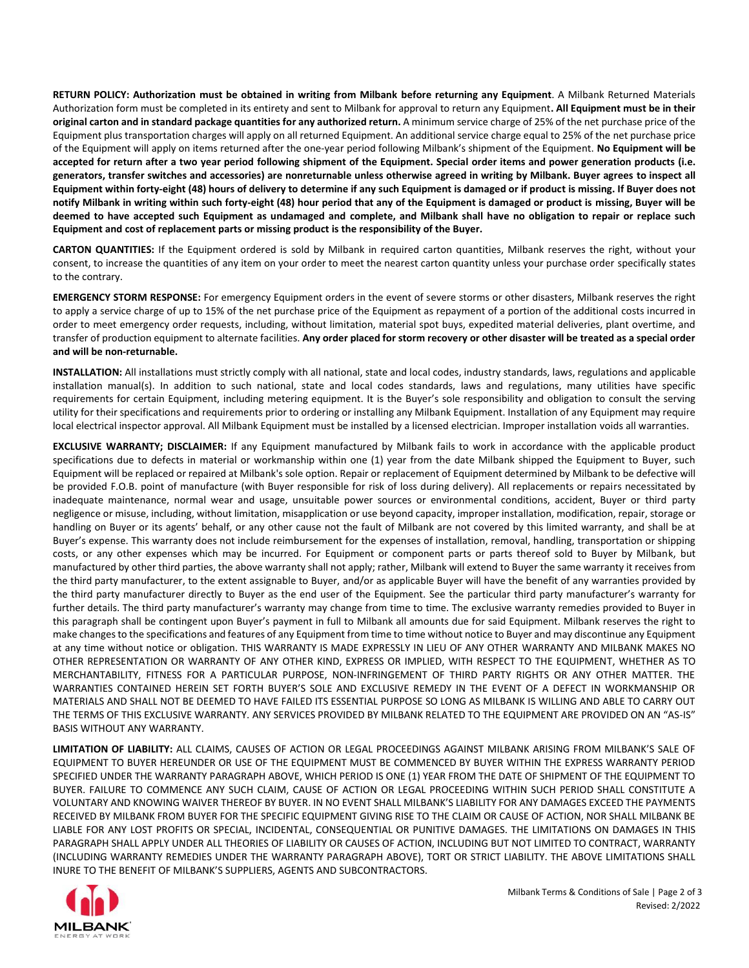**RETURN POLICY: Authorization must be obtained in writing from Milbank before returning any Equipment**. A Milbank Returned Materials Authorization form must be completed in its entirety and sent to Milbank for approval to return any Equipment**. All Equipment must be in their original carton and in standard package quantities for any authorized return.** A minimum service charge of 25% of the net purchase price of the Equipment plus transportation charges will apply on all returned Equipment. An additional service charge equal to 25% of the net purchase price of the Equipment will apply on items returned after the one‐year period following Milbank's shipment of the Equipment. **No Equipment will be accepted for return after a two year period following shipment of the Equipment. Special order items and power generation products (i.e. generators, transfer switches and accessories) are nonreturnable unless otherwise agreed in writing by Milbank. Buyer agrees to inspect all Equipment within forty‐eight (48) hours of delivery to determine if any such Equipment is damaged or if product is missing. If Buyer does not notify Milbank in writing within such forty‐eight (48) hour period that any of the Equipment is damaged or product is missing, Buyer will be deemed to have accepted such Equipment as undamaged and complete, and Milbank shall have no obligation to repair or replace such Equipment and cost of replacement parts or missing product is the responsibility of the Buyer.**

**CARTON QUANTITIES:** If the Equipment ordered is sold by Milbank in required carton quantities, Milbank reserves the right, without your consent, to increase the quantities of any item on your order to meet the nearest carton quantity unless your purchase order specifically states to the contrary.

**EMERGENCY STORM RESPONSE:** For emergency Equipment orders in the event of severe storms or other disasters, Milbank reserves the right to apply a service charge of up to 15% of the net purchase price of the Equipment as repayment of a portion of the additional costs incurred in order to meet emergency order requests, including, without limitation, material spot buys, expedited material deliveries, plant overtime, and transfer of production equipment to alternate facilities. **Any order placed for storm recovery or other disaster will be treated as a special order and will be non‐returnable.**

**INSTALLATION:** All installations must strictly comply with all national, state and local codes, industry standards, laws, regulations and applicable installation manual(s). In addition to such national, state and local codes standards, laws and regulations, many utilities have specific requirements for certain Equipment, including metering equipment. It is the Buyer's sole responsibility and obligation to consult the serving utility for their specifications and requirements prior to ordering or installing any Milbank Equipment. Installation of any Equipment may require local electrical inspector approval. All Milbank Equipment must be installed by a licensed electrician. Improper installation voids all warranties.

**EXCLUSIVE WARRANTY; DISCLAIMER:** If any Equipment manufactured by Milbank fails to work in accordance with the applicable product specifications due to defects in material or workmanship within one (1) year from the date Milbank shipped the Equipment to Buyer, such Equipment will be replaced or repaired at Milbank's sole option. Repair or replacement of Equipment determined by Milbank to be defective will be provided F.O.B. point of manufacture (with Buyer responsible for risk of loss during delivery). All replacements or repairs necessitated by inadequate maintenance, normal wear and usage, unsuitable power sources or environmental conditions, accident, Buyer or third party negligence or misuse, including, without limitation, misapplication or use beyond capacity, improper installation, modification, repair, storage or handling on Buyer or its agents' behalf, or any other cause not the fault of Milbank are not covered by this limited warranty, and shall be at Buyer's expense. This warranty does not include reimbursement for the expenses of installation, removal, handling, transportation or shipping costs, or any other expenses which may be incurred. For Equipment or component parts or parts thereof sold to Buyer by Milbank, but manufactured by other third parties, the above warranty shall not apply; rather, Milbank will extend to Buyer the same warranty it receives from the third party manufacturer, to the extent assignable to Buyer, and/or as applicable Buyer will have the benefit of any warranties provided by the third party manufacturer directly to Buyer as the end user of the Equipment. See the particular third party manufacturer's warranty for further details. The third party manufacturer's warranty may change from time to time. The exclusive warranty remedies provided to Buyer in this paragraph shall be contingent upon Buyer's payment in full to Milbank all amounts due for said Equipment. Milbank reserves the right to make changes to the specifications and features of any Equipment from time to time without notice to Buyer and may discontinue any Equipment at any time without notice or obligation. THIS WARRANTY IS MADE EXPRESSLY IN LIEU OF ANY OTHER WARRANTY AND MILBANK MAKES NO OTHER REPRESENTATION OR WARRANTY OF ANY OTHER KIND, EXPRESS OR IMPLIED, WITH RESPECT TO THE EQUIPMENT, WHETHER AS TO MERCHANTABILITY, FITNESS FOR A PARTICULAR PURPOSE, NON‐INFRINGEMENT OF THIRD PARTY RIGHTS OR ANY OTHER MATTER. THE WARRANTIES CONTAINED HEREIN SET FORTH BUYER'S SOLE AND EXCLUSIVE REMEDY IN THE EVENT OF A DEFECT IN WORKMANSHIP OR MATERIALS AND SHALL NOT BE DEEMED TO HAVE FAILED ITS ESSENTIAL PURPOSE SO LONG AS MILBANK IS WILLING AND ABLE TO CARRY OUT THE TERMS OF THIS EXCLUSIVE WARRANTY. ANY SERVICES PROVIDED BY MILBANK RELATED TO THE EQUIPMENT ARE PROVIDED ON AN "AS-IS" BASIS WITHOUT ANY WARRANTY.

**LIMITATION OF LIABILITY:** ALL CLAIMS, CAUSES OF ACTION OR LEGAL PROCEEDINGS AGAINST MILBANK ARISING FROM MILBANK'S SALE OF EQUIPMENT TO BUYER HEREUNDER OR USE OF THE EQUIPMENT MUST BE COMMENCED BY BUYER WITHIN THE EXPRESS WARRANTY PERIOD SPECIFIED UNDER THE WARRANTY PARAGRAPH ABOVE, WHICH PERIOD IS ONE (1) YEAR FROM THE DATE OF SHIPMENT OF THE EQUIPMENT TO BUYER. FAILURE TO COMMENCE ANY SUCH CLAIM, CAUSE OF ACTION OR LEGAL PROCEEDING WITHIN SUCH PERIOD SHALL CONSTITUTE A VOLUNTARY AND KNOWING WAIVER THEREOF BY BUYER. IN NO EVENT SHALL MILBANK'S LIABILITY FOR ANY DAMAGES EXCEED THE PAYMENTS RECEIVED BY MILBANK FROM BUYER FOR THE SPECIFIC EQUIPMENT GIVING RISE TO THE CLAIM OR CAUSE OF ACTION, NOR SHALL MILBANK BE LIABLE FOR ANY LOST PROFITS OR SPECIAL, INCIDENTAL, CONSEQUENTIAL OR PUNITIVE DAMAGES. THE LIMITATIONS ON DAMAGES IN THIS PARAGRAPH SHALL APPLY UNDER ALL THEORIES OF LIABILITY OR CAUSES OF ACTION, INCLUDING BUT NOT LIMITED TO CONTRACT, WARRANTY (INCLUDING WARRANTY REMEDIES UNDER THE WARRANTY PARAGRAPH ABOVE), TORT OR STRICT LIABILITY. THE ABOVE LIMITATIONS SHALL INURE TO THE BENEFIT OF MILBANK'S SUPPLIERS, AGENTS AND SUBCONTRACTORS.